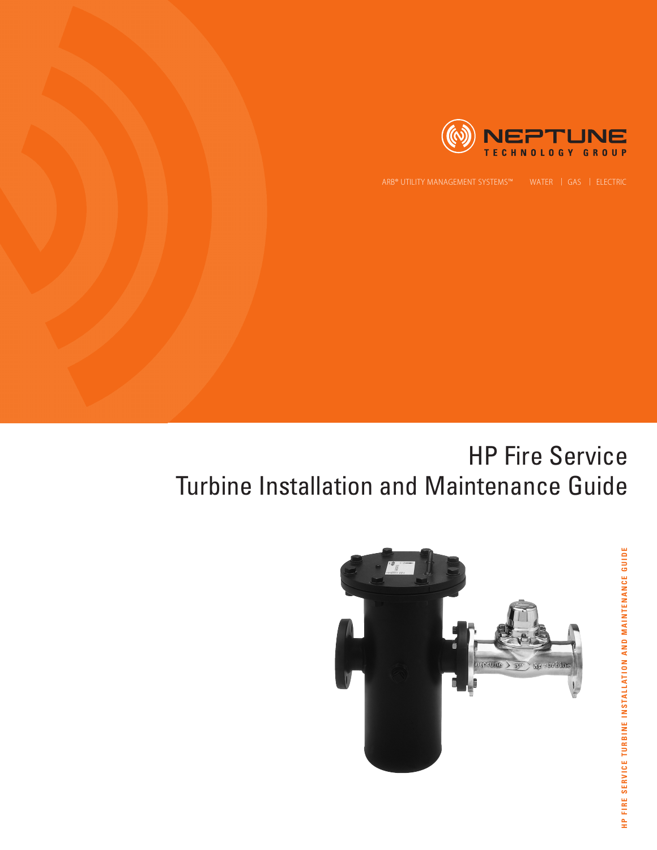

# HP Fire Service Turbine Installation and Maintenance Guide



**HP FIRE SERVICE TURBINE INSTALLATION AND MAINTENANCE GUIDE** HP FIRE SERVICE TURBINE INSTALLATION AND MAINTENANCE GUIDE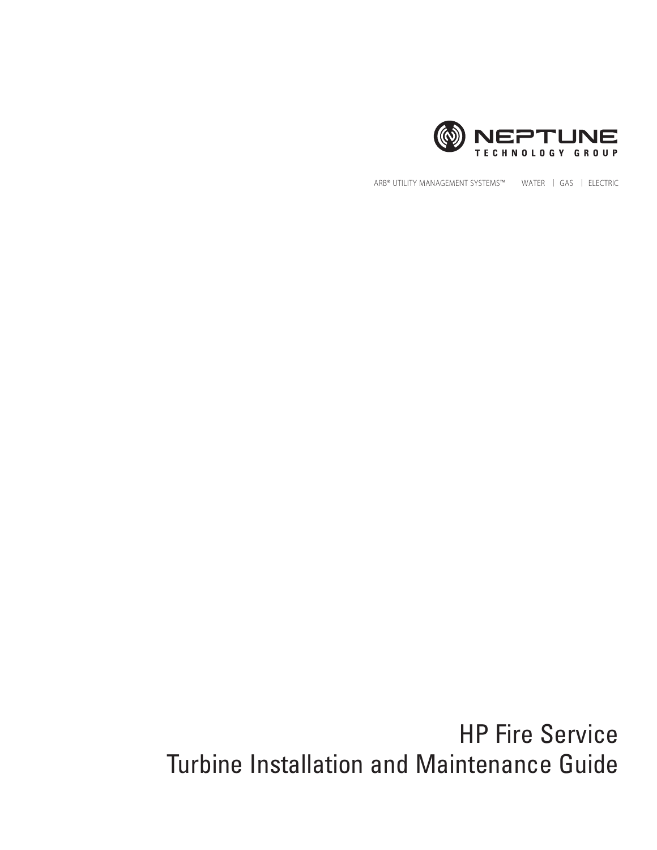

ARB® UTILITY MANAGEMENT SYSTEMS™ WATER | GAS | ELECTRIC

HP Fire Service Turbine Installation and Maintenance Guide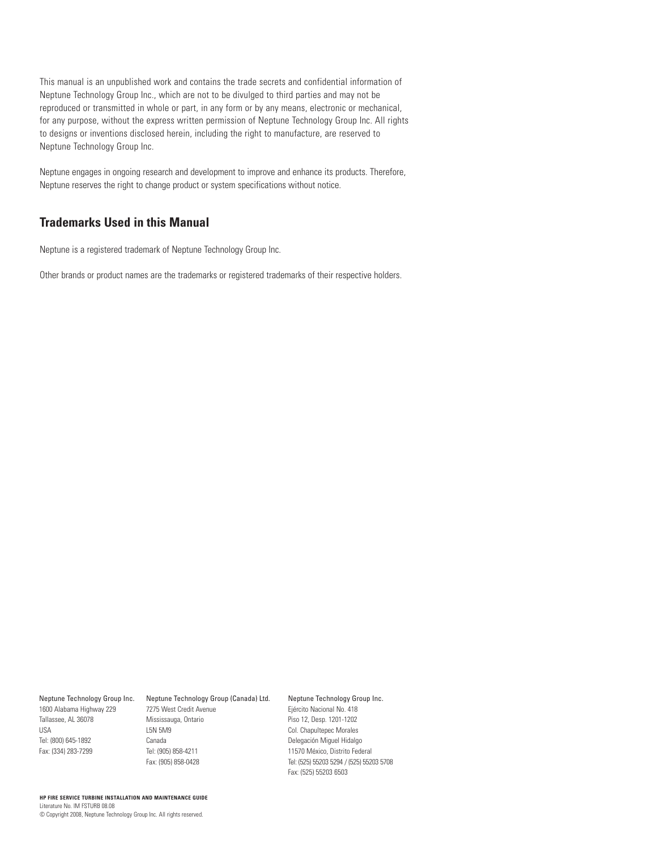This manual is an unpublished work and contains the trade secrets and confidential information of Neptune Technology Group Inc., which are not to be divulged to third parties and may not be reproduced or transmitted in whole or part, in any form or by any means, electronic or mechanical, for any purpose, without the express written permission of Neptune Technology Group Inc. All rights to designs or inventions disclosed herein, including the right to manufacture, are reserved to Neptune Technology Group Inc.

Neptune engages in ongoing research and development to improve and enhance its products. Therefore, Neptune reserves the right to change product or system specifications without notice.

## **Trademarks Used in this Manual**

Neptune is a registered trademark of Neptune Technology Group Inc.

Other brands or product names are the trademarks or registered trademarks of their respective holders.

1600 Alabama Highway 229 Tallassee, AL 36078 USA Tel: (800) 645-1892 Fax: (334) 283-7299

## Neptune Technology Group Inc. Neptune Technology Group (Canada) Ltd. 7275 West Credit Avenue

Mississauga, Ontario L5N 5M9 Canada Tel: (905) 858-4211 Fax: (905) 858-0428

Neptune Technology Group Inc. Ejército Nacional No. 418 Piso 12, Desp. 1201-1202 Col. Chapultepec Morales Delegación Miguel Hidalgo 11570 México, Distrito Federal Tel: (525) 55203 5294 / (525) 55203 5708 Fax: (525) 55203 6503

## **HP FIRE SERVICE TURBINE INSTALLATION AND MAINTENANCE GUIDE** Literature No. IM FSTURB 08.08 © Copyright 2008, Neptune Technology Group Inc. All rights reserved.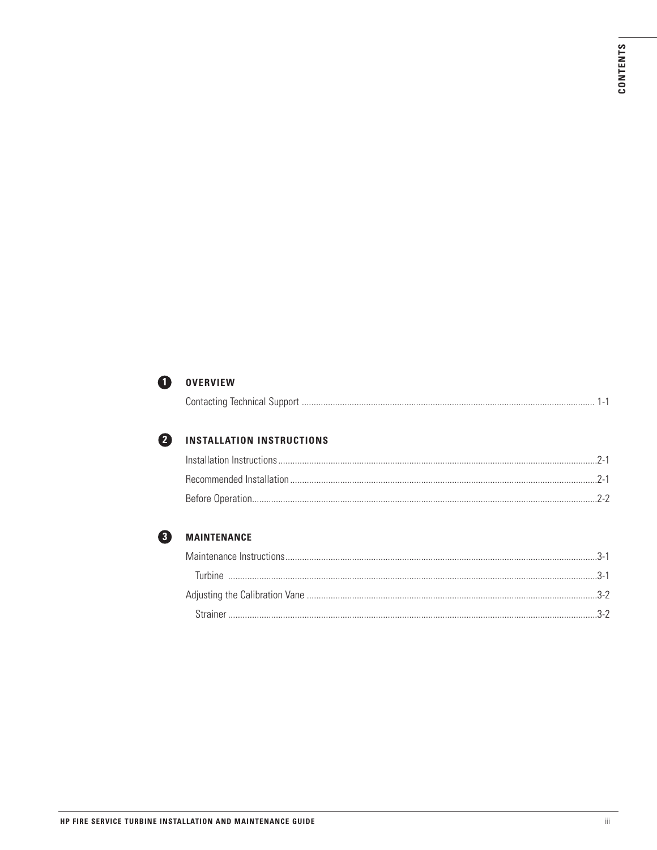

## **O** OVERVIEW

| 0.111<br>. JOHNACHTM TECHNICAL |
|--------------------------------|
|--------------------------------|



## **2** INSTALLATION INSTRUCTIONS

| Installation Instructions |  |
|---------------------------|--|
|                           |  |
| Before Operation          |  |



## **3** MAINTENANCE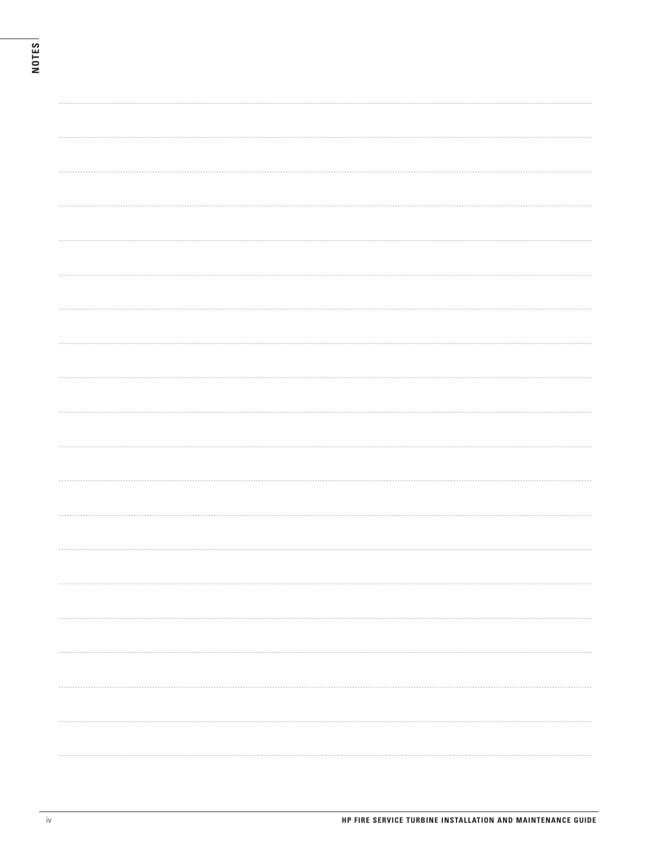| . |  |  |
|---|--|--|
|   |  |  |
|   |  |  |
|   |  |  |
|   |  |  |
| . |  |  |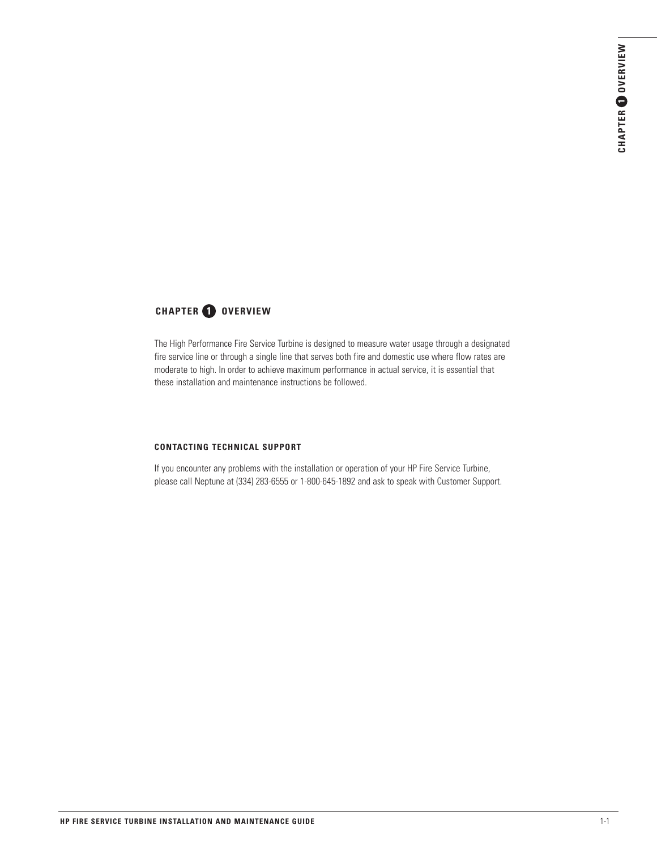## **CHAPTER OVERVIEW**

The High Performance Fire Service Turbine is designed to measure water usage through a designated fire service line or through a single line that serves both fire and domestic use where flow rates are moderate to high. In order to achieve maximum performance in actual service, it is essential that these installation and maintenance instructions be followed.

## **CONTACTING TECHNICAL SUPPORT**

If you encounter any problems with the installation or operation of your HP Fire Service Turbine, please call Neptune at (334) 283-6555 or 1-800-645-1892 and ask to speak with Customer Support.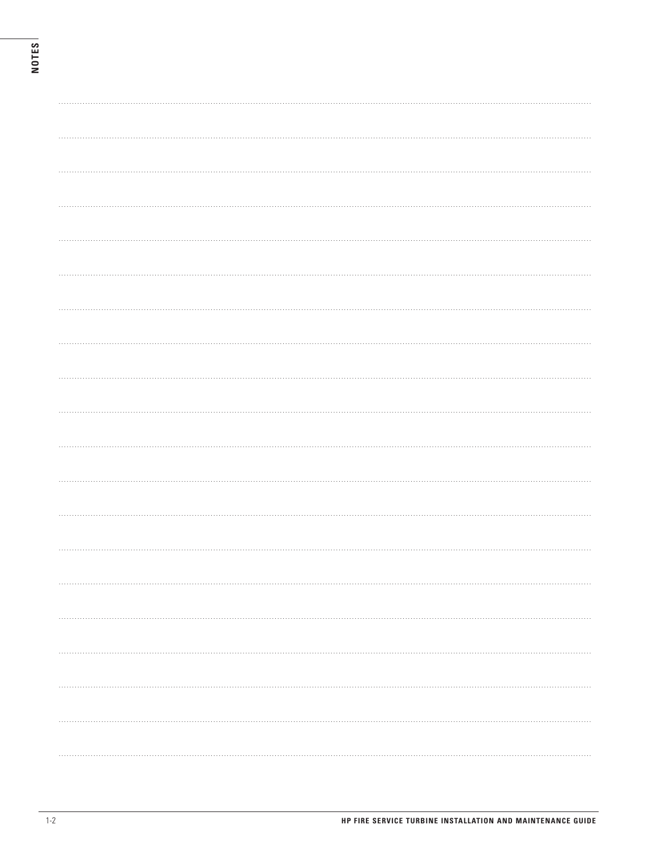| . <b>.</b> . |
|--------------|
|              |
|              |
|              |
|              |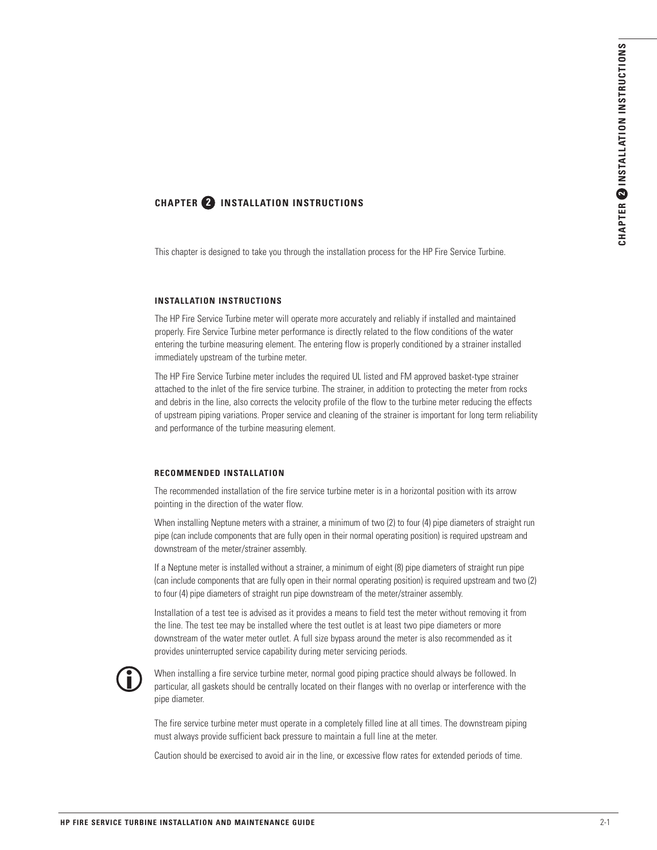# **CHAPTER INSTALLATION INSTRUCTIONS <sup>2</sup> <sup>2</sup>**

This chapter is designed to take you through the installation process for the HP Fire Service Turbine.

## **INSTALLATION INSTRUCTIONS**

The HP Fire Service Turbine meter will operate more accurately and reliably if installed and maintained properly. Fire Service Turbine meter performance is directly related to the flow conditions of the water entering the turbine measuring element. The entering flow is properly conditioned by a strainer installed immediately upstream of the turbine meter.

The HP Fire Service Turbine meter includes the required UL listed and FM approved basket-type strainer attached to the inlet of the fire service turbine. The strainer, in addition to protecting the meter from rocks and debris in the line, also corrects the velocity profile of the flow to the turbine meter reducing the effects of upstream piping variations. Proper service and cleaning of the strainer is important for long term reliability and performance of the turbine measuring element.

## **RECOMMENDED INSTALLATION**

The recommended installation of the fire service turbine meter is in a horizontal position with its arrow pointing in the direction of the water flow.

When installing Neptune meters with a strainer, a minimum of two (2) to four (4) pipe diameters of straight run pipe (can include components that are fully open in their normal operating position) is required upstream and downstream of the meter/strainer assembly.

If a Neptune meter is installed without a strainer, a minimum of eight (8) pipe diameters of straight run pipe (can include components that are fully open in their normal operating position) is required upstream and two (2) to four (4) pipe diameters of straight run pipe downstream of the meter/strainer assembly.

Installation of a test tee is advised as it provides a means to field test the meter without removing it from the line. The test tee may be installed where the test outlet is at least two pipe diameters or more downstream of the water meter outlet. A full size bypass around the meter is also recommended as it provides uninterrupted service capability during meter servicing periods.



When installing a fire service turbine meter, normal good piping practice should always be followed. In particular, all gaskets should be centrally located on their flanges with no overlap or interference with the pipe diameter.

The fire service turbine meter must operate in a completely filled line at all times. The downstream piping must always provide sufficient back pressure to maintain a full line at the meter.

Caution should be exercised to avoid air in the line, or excessive flow rates for extended periods of time.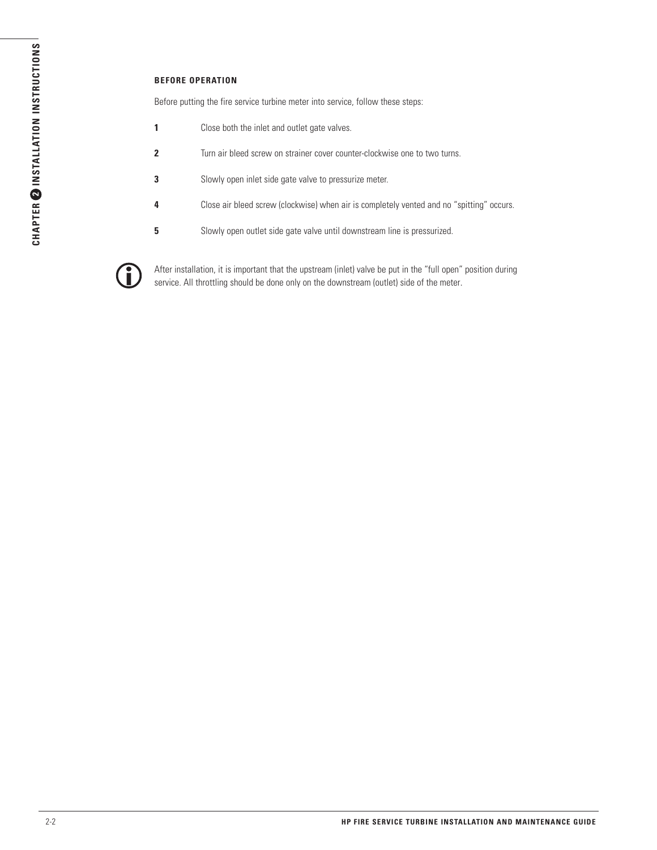## **BEFORE OPERATION**

Before putting the fire service turbine meter into service, follow these steps:

- **1** Close both the inlet and outlet gate valves.
- **2** Turn air bleed screw on strainer cover counter-clockwise one to two turns.
- **3** Slowly open inlet side gate valve to pressurize meter.
- **4** Close air bleed screw (clockwise) when air is completely vented and no "spitting" occurs.
- **5** Slowly open outlet side gate valve until downstream line is pressurized.



After installation, it is important that the upstream (inlet) valve be put in the "full open" position during service. All throttling should be done only on the downstream (outlet) side of the meter.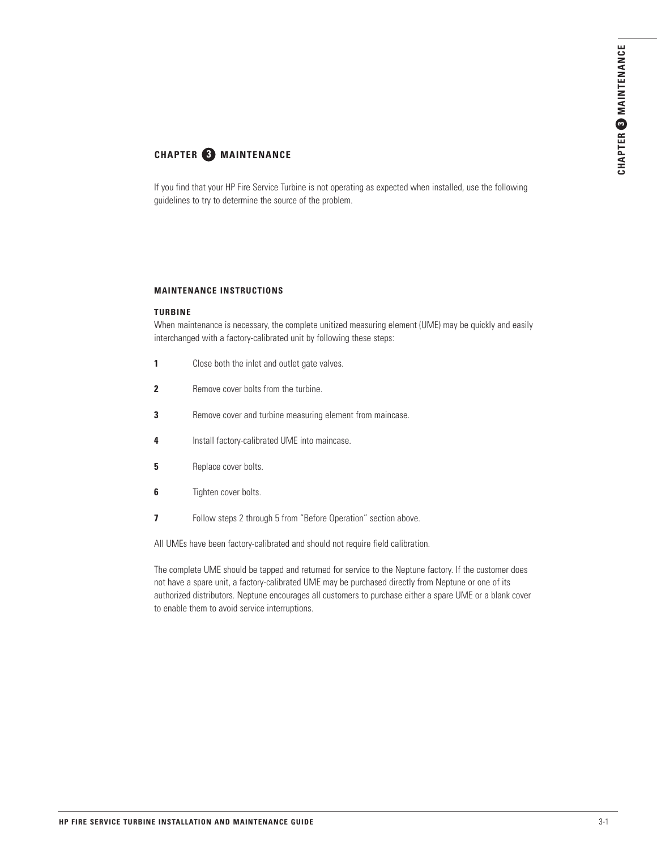## **CHAPTER MAINTENANCE 3**

If you find that your HP Fire Service Turbine is not operating as expected when installed, use the following guidelines to try to determine the source of the problem.

## **MAINTENANCE INSTRUCTIONS**

## **TURBINE**

When maintenance is necessary, the complete unitized measuring element (UME) may be quickly and easily interchanged with a factory-calibrated unit by following these steps:

- **1** Close both the inlet and outlet gate valves.
- **2** Remove cover bolts from the turbine.
- **3** Remove cover and turbine measuring element from maincase.
- **4** Install factory-calibrated UME into maincase.
- **5** Replace cover bolts.
- **6** Tighten cover bolts.
- **7** Follow steps 2 through 5 from "Before Operation" section above.

All UMEs have been factory-calibrated and should not require field calibration.

The complete UME should be tapped and returned for service to the Neptune factory. If the customer does not have a spare unit, a factory-calibrated UME may be purchased directly from Neptune or one of its authorized distributors. Neptune encourages all customers to purchase either a spare UME or a blank cover to enable them to avoid service interruptions.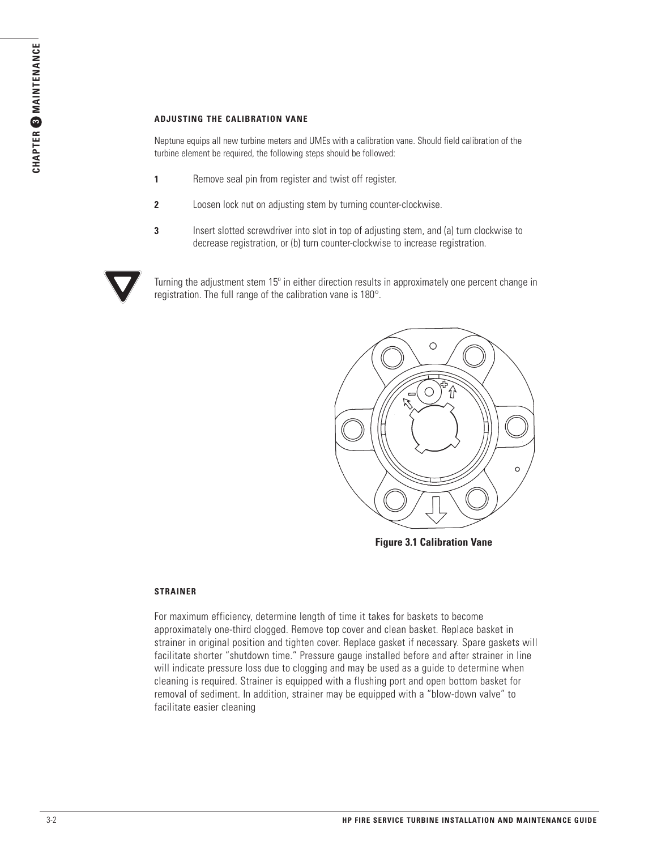## **ADJUSTING THE CALIBRATION VANE**

Neptune equips all new turbine meters and UMEs with a calibration vane. Should field calibration of the turbine element be required, the following steps should be followed:

- **1** Remove seal pin from register and twist off register.
- **2** Loosen lock nut on adjusting stem by turning counter-clockwise.
- **3** Insert slotted screwdriver into slot in top of adjusting stem, and (a) turn clockwise to decrease registration, or (b) turn counter-clockwise to increase registration.



Turning the adjustment stem 15º in either direction results in approximately one percent change in registration. The full range of the calibration vane is 180°.



**Figure 3.1 Calibration Vane**

## **STRAINER**

For maximum efficiency, determine length of time it takes for baskets to become approximately one-third clogged. Remove top cover and clean basket. Replace basket in strainer in original position and tighten cover. Replace gasket if necessary. Spare gaskets will facilitate shorter "shutdown time." Pressure gauge installed before and after strainer in line will indicate pressure loss due to clogging and may be used as a guide to determine when cleaning is required. Strainer is equipped with a flushing port and open bottom basket for removal of sediment. In addition, strainer may be equipped with a "blow-down valve" to facilitate easier cleaning